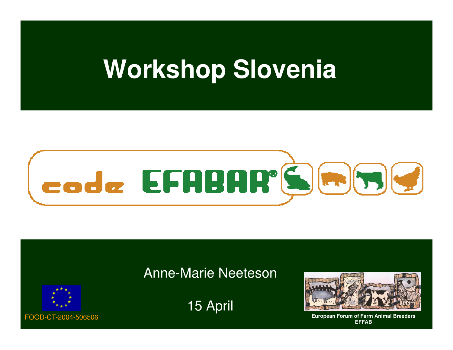# **Workshop Slovenia**



### Anne-Marie Neeteson



15 April



 **European Forum of Farm Animal BreedersEFFAB**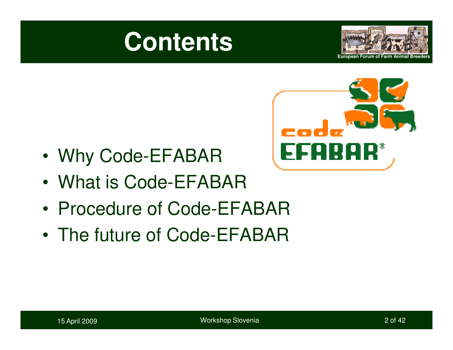





- •Why Code-EFABAR
- What is Code-FFA What is Code-EFABAR
- Procedure of Code-FF Procedure of Code-EFABAR
- $\bullet$  The future of Code-FFARA. The future of Code-EFABAR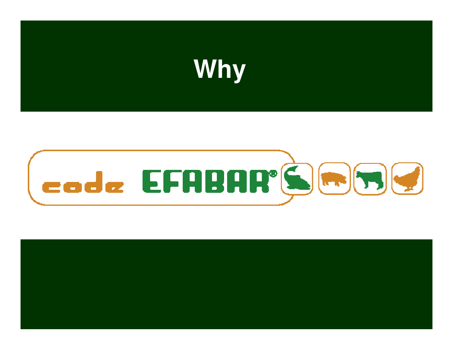



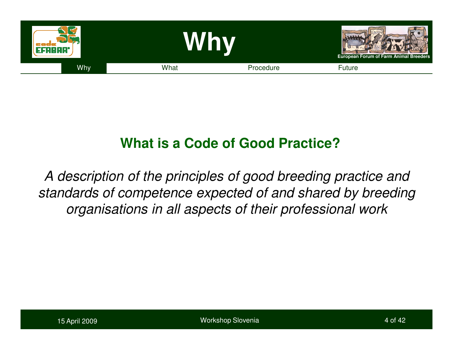

## **What is a Code of Good Practice?**

A description of the principles of good breeding practice and standards of competence expected of and shared by breeding organisations in all aspects of their professional work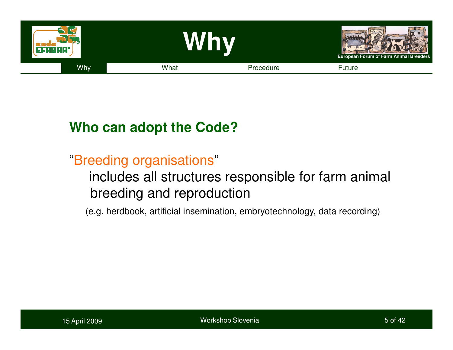

## **Who can adopt the Code?**

## "Breeding organisations"

## includes all structures responsible for farm animal breeding and reproduction

(e.g. herdbook, artificial insemination, embryotechnology, data recording)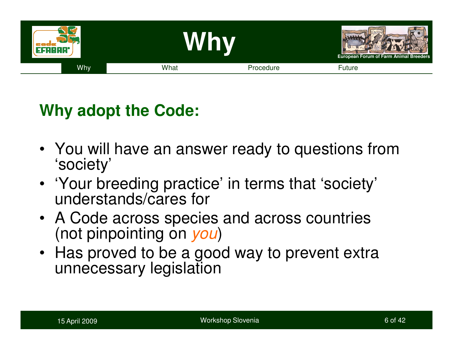

## **Why adopt the Code:**

- You will have an answer ready to questions from 'society'
- 'Your breeding practice' in terms that 'society' understands/cares for
- A Code across species and across countries (not pinpointing on *you*)
- Has proved to be a good way to prevent extra unnecessary legislation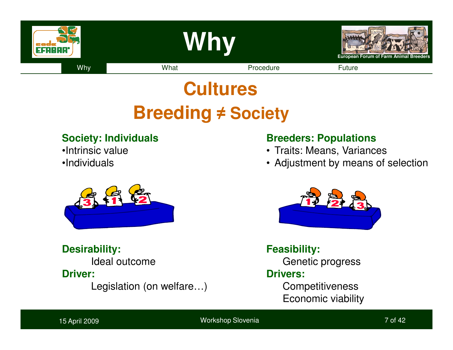

# **Cultures Breeding <sup>≠</sup> Society**

#### **Society: Individuals**

- •Intrinsic value
- •Individuals



#### **Desirability:**

Ideal outcome

#### **Driver:**

Legislation (on welfare…)

#### **Breeders: Populations**

- Traits: Means, Variances
- Adjustment by means of selection



### **Feasibility:**

Genetic progress

#### **Drivers:**

**Competitiveness** Economic viability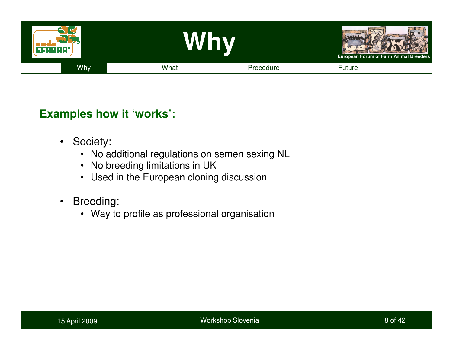

#### **Examples how it 'works':**

- $\bullet$  Society:
	- No additional regulations on semen sexing NL
	- No breeding limitations in UK
	- Used in the European cloning discussion
- $\bullet$  Breeding:
	- Way to profile as professional organisation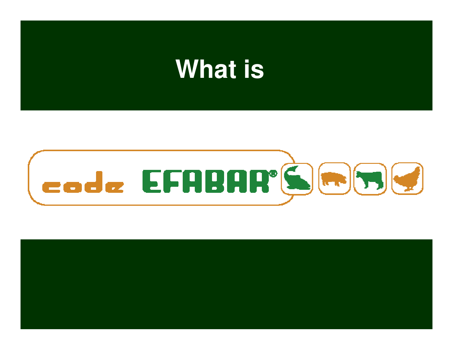# **What is**



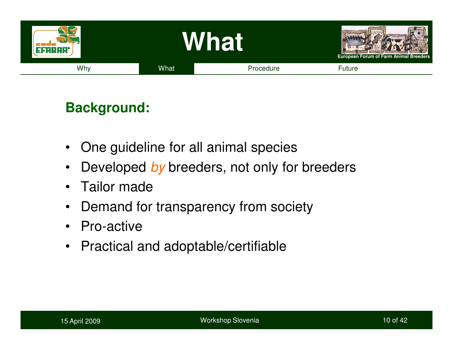

## **Background:**

- $\bullet$ One guideline for all animal species
- $\bullet$ Developed by breeders, not only for breeders
- •Tailor made
- $\bullet$ Demand for transparency from society
- Pro-active
- Practical and adoptable/certifiable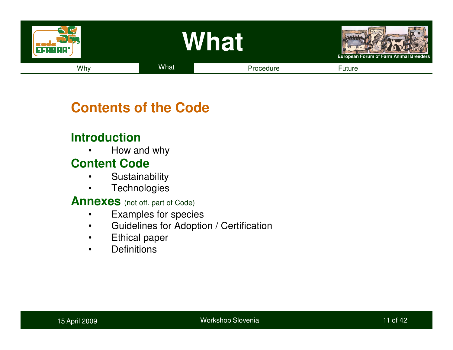

### **Contents of the Code**

### **Introduction**

 How and why•

### **Content Code**

- Sustainability •
- **Technologies** •

**Annexes** (not off. part of Code)

- •Examples for species
- Guidelines for Adoption / Certification•
- •Ethical paper
- •**Definitions**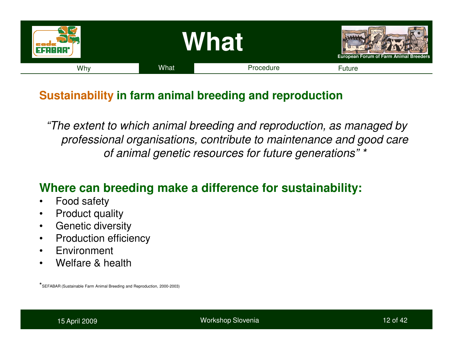

## **Sustainability in farm animal breeding and reproduction**

"The extent to which animal breeding and reproduction, as managed by professional organisations, contribute to maintenance and good care of animal genetic resources for future generations" \*

### **Where can breeding make a difference for sustainability:**

- $\bullet$ Food safety
- Product quality $\bullet$
- Genetic diversity•
- Production efficiency $\bullet$
- •Environment
- •Welfare & health

\*SEFABAR (Sustainable Farm Animal Breeding and Reproduction, 2000-2003)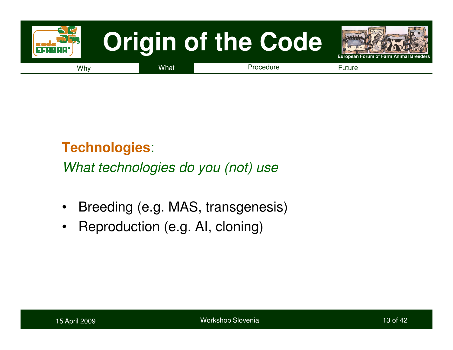

## **Technologies**:

What technologies do you (not) use

- $\bullet$ Breeding (e.g. MAS, transgenesis)
- $\bullet$ Reproduction (e.g. AI, cloning)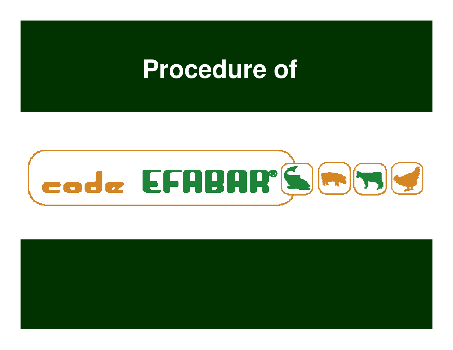# **Procedure of**



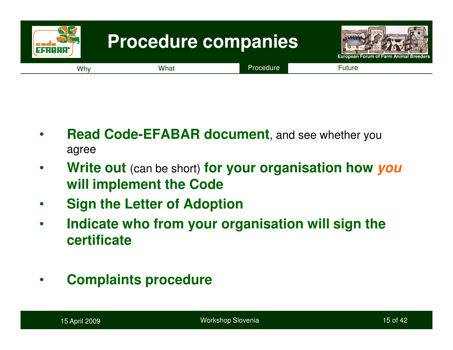

- • **Read Code-EFABAR document**, and see whether you agree
- • **Write out** (can be short) **for your organisation how youwill implement the Code**
- •**Sign the Letter of Adoption**
- • **Indicate who from your organisation will sign the certificate**
- •**Complaints procedure**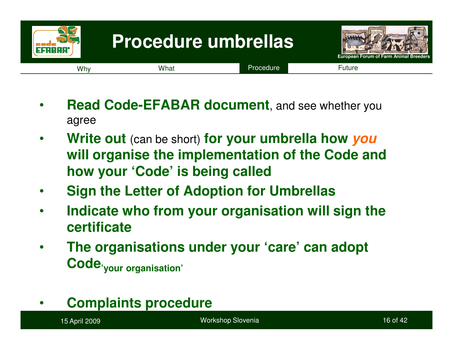

- • **Read Code-EFABAR document**, and see whether you agree
- $\bullet$  **Write out** (can be short) **for your umbrella how you will organise the implementation of the Code and how your 'Code' is being called**
- $\bullet$ **Sign the Letter of Adoption for Umbrellas**
- • **Indicate who from your organisation will sign the certificate**
- • **The organisations under your 'care' can adopt Code'your organisation'**
- •**Complaints procedure**

15 April 2009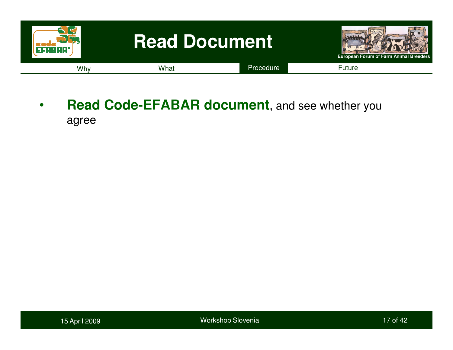

• **Read Code-EFABAR document**, and see whether you agree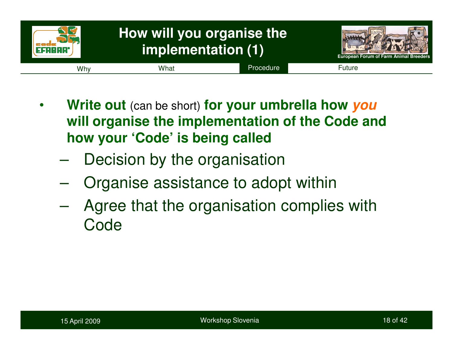

- • **Write out** (can be short) **for your umbrella how you will organise the implementation of the Code and how your 'Code' is being called**
	- $\mathcal{L}_{\mathcal{A}}$ Decision by the organisation
	- $\mathcal{L}_{\mathcal{A}}$  , the state of the state of the state  $\mathcal{L}_{\mathcal{A}}$ Organise assistance to adopt within
	- $\mathcal{L}_{\mathcal{A}}$  Agree that the organisation complies with Code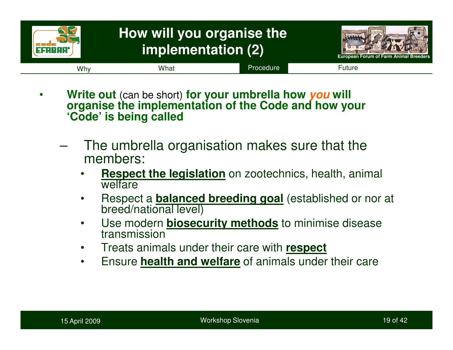

- • **Write out** (can be short) **for your umbrella how youorganise the implementation of the Code and how your 'Code' is being called** 
	- – The umbrella organisation makes sure that the members:
		- •**Respect the legislation** on zootechnics, health, animal<br>welfare welfare
		- Respect a **balanced breeding goal** (established or nor at •breed/national level)
		- Use modern **biosecurity methods** to minimise disease •transmission
		- Treats animals under their care with **respect**•
		- Ensure **health and welfare** of animals under their care  $\bullet$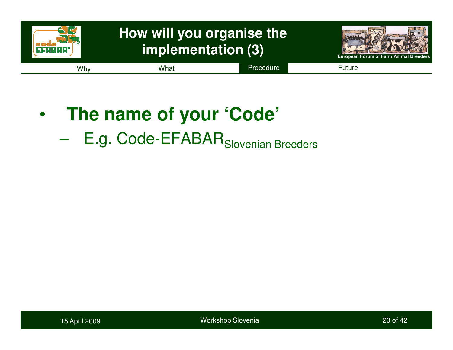

- • **The name of your 'Code'**
	- $\mathcal{L}_{\mathcal{A}}$  , where  $\mathcal{L}_{\mathcal{A}}$  is the set of the set of the set of the set of the set of the set of the set of the set of the set of the set of the set of the set of the set of the set of the set of the set of the E.g. Code-EFABAR<sub>Slovenian</sub> Breeders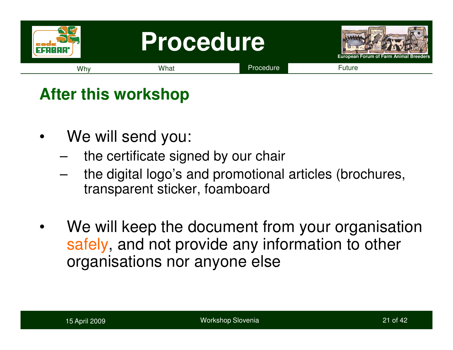

## **After this workshop**

- •We will send you:
	- –the certificate signed by our chair
	- – the digital logo's and promotional articles (brochures, transparent sticker, foamboard
- •We will keep the document from your organisation safely, and not provide any information to other organisations nor anyone else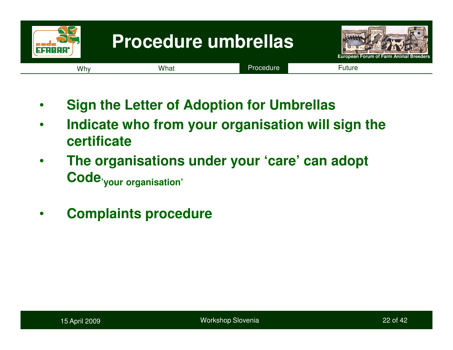

- •**Sign the Letter of Adoption for Umbrellas**
- • **Indicate who from your organisation will sign the certificate**
- **The organisations under your 'care' can adopt**  •**Code'your organisation'**
- •**Complaints procedure**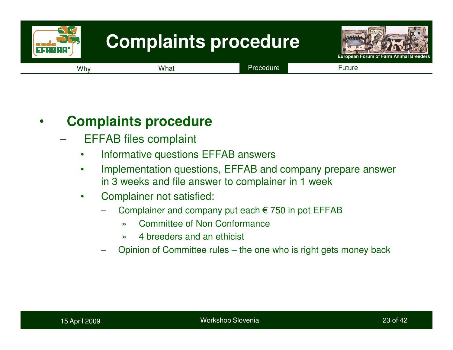

#### •**Complaints procedure**

- EFFAB files complaint
	- $\bullet$ Informative questions EFFAB answers
	- • Implementation questions, EFFAB and company prepare answer in 3 weeks and file answer to complainer in 1 week
	- • Complainer not satisfied:
		- Complainer and company put each € 750 in pot EFFAB
			- »Committee of Non Conformance
			- »4 breeders and an ethicist
		- Opinion of Committee rules the one who is right gets money back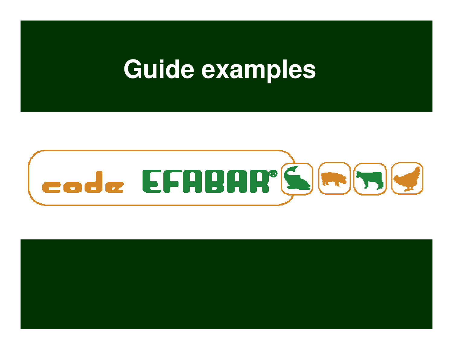# **Guide examples**



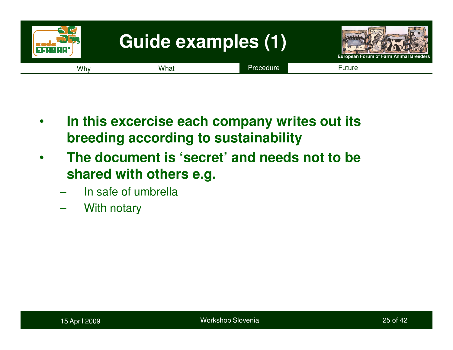

- • **In this excercise each company writes out its breeding according to sustainability**
- • **The document is 'secret' and needs not to be shared with others e.g.** 
	- In safe of umbrella
	- With notary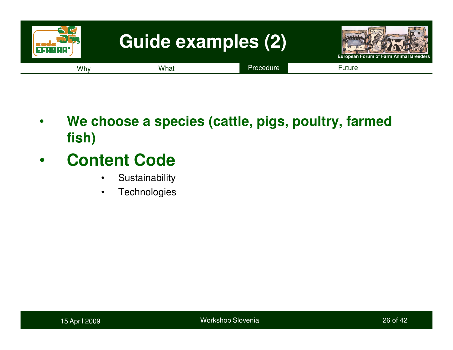

- • **We choose a species (cattle, pigs, poultry, farmed fish)**
- • **Content Code**
	- Sustainability •
	- **Technologies**  $\bullet$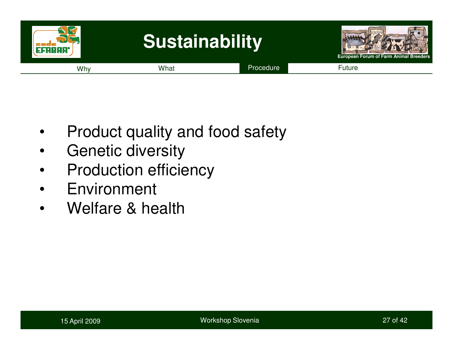

- •Product quality and food safety
- •Genetic diversity
- •Production efficiency
- •Environment
- •Welfare & health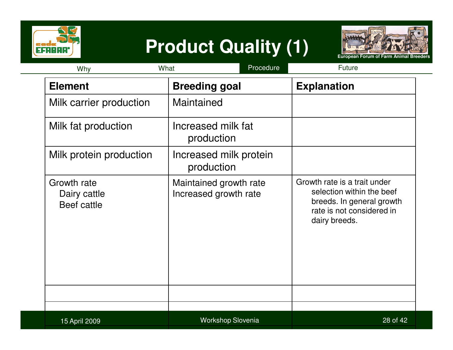

# **Product Quality (1)**



| Why                                               | Procedure<br>What                               | <b>Future</b>                                                                                                                        |
|---------------------------------------------------|-------------------------------------------------|--------------------------------------------------------------------------------------------------------------------------------------|
| <b>Element</b>                                    | <b>Breeding goal</b>                            | <b>Explanation</b>                                                                                                                   |
| Milk carrier production                           | Maintained                                      |                                                                                                                                      |
| Milk fat production                               | Increased milk fat<br>production                |                                                                                                                                      |
| Milk protein production                           | Increased milk protein<br>production            |                                                                                                                                      |
| Growth rate<br>Dairy cattle<br><b>Beef cattle</b> | Maintained growth rate<br>Increased growth rate | Growth rate is a trait under<br>selection within the beef<br>breeds. In general growth<br>rate is not considered in<br>dairy breeds. |
| 15 April 2009                                     | Workshop Slovenia                               | 28 of 42                                                                                                                             |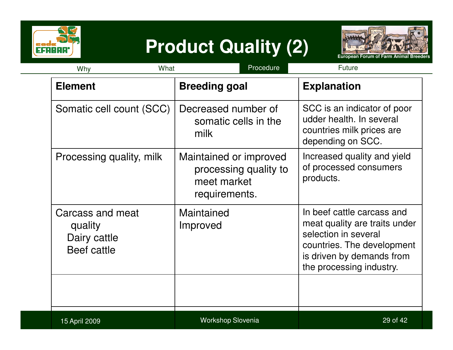

# **Product Quality (2)**



| What<br>Why                                                | Procedure                                                                       | Future                                                                                                                                                                     |
|------------------------------------------------------------|---------------------------------------------------------------------------------|----------------------------------------------------------------------------------------------------------------------------------------------------------------------------|
| <b>Element</b>                                             | <b>Breeding goal</b>                                                            | <b>Explanation</b>                                                                                                                                                         |
| Somatic cell count (SCC)                                   | Decreased number of<br>somatic cells in the<br>milk                             | SCC is an indicator of poor<br>udder health. In several<br>countries milk prices are<br>depending on SCC.                                                                  |
| Processing quality, milk                                   | Maintained or improved<br>processing quality to<br>meet market<br>requirements. | Increased quality and yield<br>of processed consumers<br>products.                                                                                                         |
| Carcass and meat<br>quality<br>Dairy cattle<br>Beef cattle | Maintained<br>Improved                                                          | In beef cattle carcass and<br>meat quality are traits under<br>selection in several<br>countries. The development<br>is driven by demands from<br>the processing industry. |
|                                                            |                                                                                 |                                                                                                                                                                            |
| 15 April 2009                                              | <b>Workshop Slovenia</b>                                                        | 29 of 42                                                                                                                                                                   |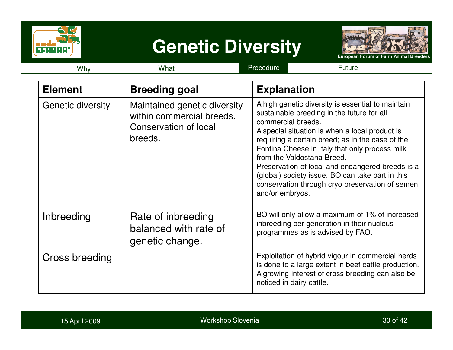

## **Genetic Diversity**



| Why               | What                                                                                          | Procedure<br>Future                                                                                                                                                                                                                                                                                                                                                                                                                                                                       |
|-------------------|-----------------------------------------------------------------------------------------------|-------------------------------------------------------------------------------------------------------------------------------------------------------------------------------------------------------------------------------------------------------------------------------------------------------------------------------------------------------------------------------------------------------------------------------------------------------------------------------------------|
| <b>Element</b>    | <b>Breeding goal</b>                                                                          | <b>Explanation</b>                                                                                                                                                                                                                                                                                                                                                                                                                                                                        |
| Genetic diversity | Maintained genetic diversity<br>within commercial breeds.<br>Conservation of local<br>breeds. | A high genetic diversity is essential to maintain<br>sustainable breeding in the future for all<br>commercial breeds.<br>A special situation is when a local product is<br>requiring a certain breed; as in the case of the<br>Fontina Cheese in Italy that only process milk<br>from the Valdostana Breed.<br>Preservation of local and endangered breeds is a<br>(global) society issue. BO can take part in this<br>conservation through cryo preservation of semen<br>and/or embryos. |
| Inbreeding        | Rate of inbreeding<br>balanced with rate of<br>genetic change.                                | BO will only allow a maximum of 1% of increased<br>inbreeding per generation in their nucleus<br>programmes as is advised by FAO.                                                                                                                                                                                                                                                                                                                                                         |
| Cross breeding    |                                                                                               | Exploitation of hybrid vigour in commercial herds<br>is done to a large extent in beef cattle production.<br>A growing interest of cross breeding can also be<br>noticed in dairy cattle.                                                                                                                                                                                                                                                                                                 |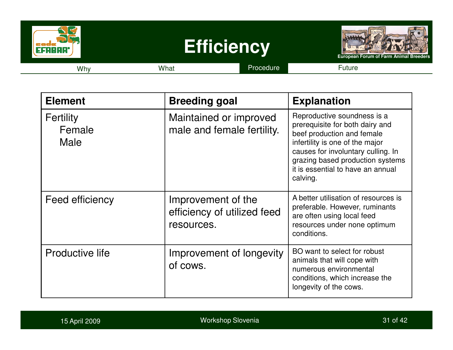

| <b>Element</b>                     | <b>Breeding goal</b>                                            | <b>Explanation</b>                                                                                                                                                                                                                                         |
|------------------------------------|-----------------------------------------------------------------|------------------------------------------------------------------------------------------------------------------------------------------------------------------------------------------------------------------------------------------------------------|
| <b>Fertility</b><br>Female<br>Male | Maintained or improved<br>male and female fertility.            | Reproductive soundness is a<br>prerequisite for both dairy and<br>beef production and female<br>infertility is one of the major<br>causes for involuntary culling. In<br>grazing based production systems<br>it is essential to have an annual<br>calving. |
| Feed efficiency                    | Improvement of the<br>efficiency of utilized feed<br>resources. | A better utilisation of resources is<br>preferable. However, ruminants<br>are often using local feed<br>resources under none optimum<br>conditions.                                                                                                        |
| <b>Productive life</b>             | Improvement of longevity<br>of cows.                            | BO want to select for robust<br>animals that will cope with<br>numerous environmental<br>conditions, which increase the<br>longevity of the cows.                                                                                                          |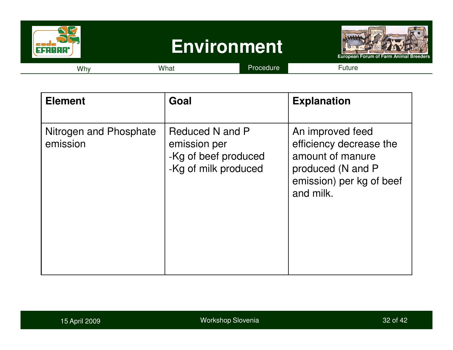

| <b>Element</b>                     | Goal                                                                            | <b>Explanation</b>                                                                                                            |
|------------------------------------|---------------------------------------------------------------------------------|-------------------------------------------------------------------------------------------------------------------------------|
| Nitrogen and Phosphate<br>emission | Reduced N and P<br>emission per<br>-Kg of beef produced<br>-Kg of milk produced | An improved feed<br>efficiency decrease the<br>amount of manure<br>produced (N and P<br>emission) per kg of beef<br>and milk. |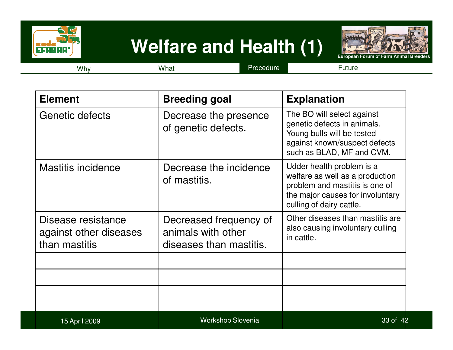

## **Welfare and Health (1)**



Why

y What Procedure Future

| <b>Element</b>                                                | <b>Breeding goal</b>                                                    | <b>Explanation</b>                                                                                                                                             |
|---------------------------------------------------------------|-------------------------------------------------------------------------|----------------------------------------------------------------------------------------------------------------------------------------------------------------|
| Genetic defects                                               | Decrease the presence<br>of genetic defects.                            | The BO will select against<br>genetic defects in animals.<br>Young bulls will be tested<br>against known/suspect defects<br>such as BLAD, MF and CVM.          |
| <b>Mastitis incidence</b>                                     | Decrease the incidence<br>of mastitis.                                  | Udder health problem is a<br>welfare as well as a production<br>problem and mastitis is one of<br>the major causes for involuntary<br>culling of dairy cattle. |
| Disease resistance<br>against other diseases<br>than mastitis | Decreased frequency of<br>animals with other<br>diseases than mastitis. | Other diseases than mastitis are<br>also causing involuntary culling<br>in cattle.                                                                             |
|                                                               |                                                                         |                                                                                                                                                                |
| 15 April 2009                                                 | <b>Workshop Slovenia</b>                                                | 33 of 42                                                                                                                                                       |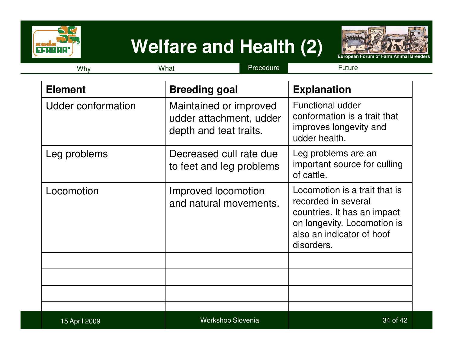

## **Welfare and Health (2)**



| What<br>Why        |                                                                             | Procedure | Future                                                                                                                                                        |
|--------------------|-----------------------------------------------------------------------------|-----------|---------------------------------------------------------------------------------------------------------------------------------------------------------------|
| <b>Element</b>     | <b>Breeding goal</b>                                                        |           | <b>Explanation</b>                                                                                                                                            |
| Udder conformation | Maintained or improved<br>udder attachment, udder<br>depth and teat traits. |           | <b>Functional udder</b><br>conformation is a trait that<br>improves longevity and<br>udder health.                                                            |
| Leg problems       | Decreased cull rate due<br>to feet and leg problems                         |           | Leg problems are an<br>important source for culling<br>of cattle.                                                                                             |
| Locomotion         | Improved locomotion<br>and natural movements.                               |           | Locomotion is a trait that is<br>recorded in several<br>countries. It has an impact<br>on longevity. Locomotion is<br>also an indicator of hoof<br>disorders. |
|                    |                                                                             |           |                                                                                                                                                               |
| 15 April 2009      | <b>Workshop Slovenia</b>                                                    |           | 34 of 42                                                                                                                                                      |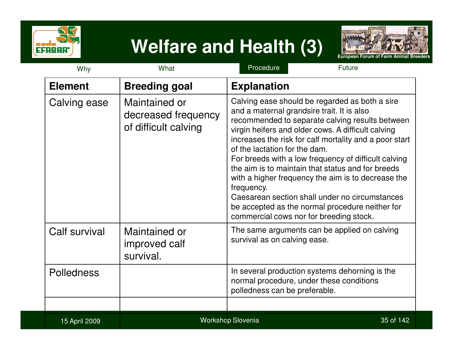

# **Welfare and Health (3)**



| Why               | What                                                         | Procedure<br>Future                                                                                                                                                                                                                                                                                                                                                                                                                                                                                                                                                                                                               |
|-------------------|--------------------------------------------------------------|-----------------------------------------------------------------------------------------------------------------------------------------------------------------------------------------------------------------------------------------------------------------------------------------------------------------------------------------------------------------------------------------------------------------------------------------------------------------------------------------------------------------------------------------------------------------------------------------------------------------------------------|
| <b>Element</b>    | <b>Breeding goal</b>                                         | <b>Explanation</b>                                                                                                                                                                                                                                                                                                                                                                                                                                                                                                                                                                                                                |
| Calving ease      | Maintained or<br>decreased frequency<br>of difficult calving | Calving ease should be regarded as both a sire<br>and a maternal grandsire trait. It is also<br>recommended to separate calving results between<br>virgin heifers and older cows. A difficult calving<br>increases the risk for calf mortality and a poor start<br>of the lactation for the dam.<br>For breeds with a low frequency of difficult calving<br>the aim is to maintain that status and for breeds<br>with a higher frequency the aim is to decrease the<br>frequency.<br>Caesarean section shall under no circumstances<br>be accepted as the normal procedure neither for<br>commercial cows nor for breeding stock. |
| Calf survival     | Maintained or<br>improved calf<br>survival.                  | The same arguments can be applied on calving<br>survival as on calving ease.                                                                                                                                                                                                                                                                                                                                                                                                                                                                                                                                                      |
| <b>Polledness</b> |                                                              | In several production systems dehorning is the<br>normal procedure, under these conditions<br>polledness can be preferable.                                                                                                                                                                                                                                                                                                                                                                                                                                                                                                       |
| 15 April 2009     |                                                              | <b>Workshop Slovenia</b><br>35 of 142                                                                                                                                                                                                                                                                                                                                                                                                                                                                                                                                                                                             |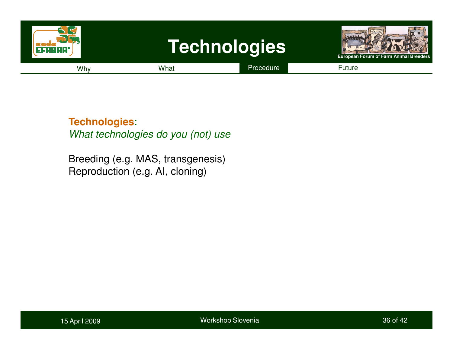

**Technologies**:

What technologies do you (not) use

Breeding (e.g. MAS, transgenesis)Reproduction (e.g. AI, cloning)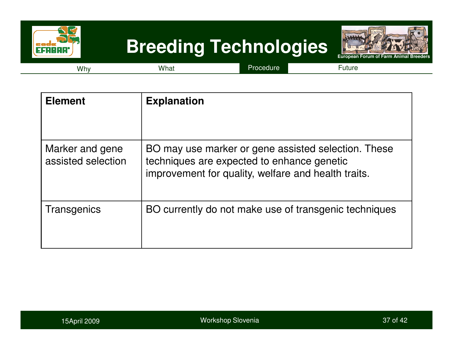

# **Breeding Technologies**



Whyy What Procedure Future

| <b>Element</b>                        | <b>Explanation</b>                                                                                                                                       |
|---------------------------------------|----------------------------------------------------------------------------------------------------------------------------------------------------------|
| Marker and gene<br>assisted selection | BO may use marker or gene assisted selection. These<br>techniques are expected to enhance genetic<br>improvement for quality, welfare and health traits. |
| Transgenics                           | BO currently do not make use of transgenic techniques                                                                                                    |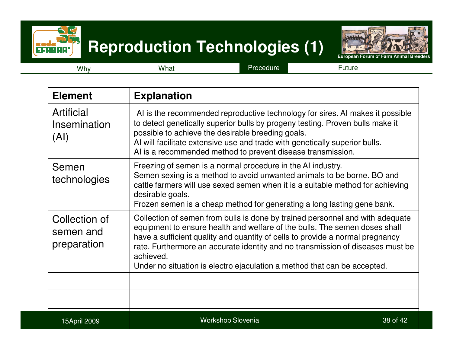

## **Reproduction Technologies (1)**



Why

y What Procedure Future

| <b>Element</b>                            | <b>Explanation</b>                                                                                                                                                                                                                                                                                                                                                                                                      |
|-------------------------------------------|-------------------------------------------------------------------------------------------------------------------------------------------------------------------------------------------------------------------------------------------------------------------------------------------------------------------------------------------------------------------------------------------------------------------------|
| Artificial<br>Insemination<br>(AI)        | Al is the recommended reproductive technology for sires. Al makes it possible<br>to detect genetically superior bulls by progeny testing. Proven bulls make it<br>possible to achieve the desirable breeding goals.<br>Al will facilitate extensive use and trade with genetically superior bulls.<br>Al is a recommended method to prevent disease transmission.                                                       |
| Semen<br>technologies                     | Freezing of semen is a normal procedure in the AI industry.<br>Semen sexing is a method to avoid unwanted animals to be borne. BO and<br>cattle farmers will use sexed semen when it is a suitable method for achieving<br>desirable goals.<br>Frozen semen is a cheap method for generating a long lasting gene bank.                                                                                                  |
| Collection of<br>semen and<br>preparation | Collection of semen from bulls is done by trained personnel and with adequate<br>equipment to ensure health and welfare of the bulls. The semen doses shall<br>have a sufficient quality and quantity of cells to provide a normal pregnancy<br>rate. Furthermore an accurate identity and no transmission of diseases must be<br>achieved.<br>Under no situation is electro ejaculation a method that can be accepted. |
|                                           |                                                                                                                                                                                                                                                                                                                                                                                                                         |
| 15April 2009                              | <b>Workshop Slovenia</b><br>38 of 42                                                                                                                                                                                                                                                                                                                                                                                    |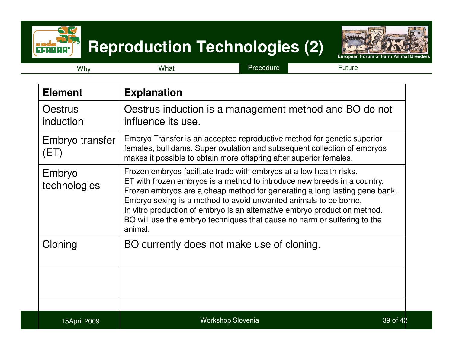

## **Reproduction Technologies (2)**



Why

y What Procedure Future

| <b>Element</b>              | <b>Explanation</b>                                                                                                                                                                                                                                                                                                                                                                                                                                                    |
|-----------------------------|-----------------------------------------------------------------------------------------------------------------------------------------------------------------------------------------------------------------------------------------------------------------------------------------------------------------------------------------------------------------------------------------------------------------------------------------------------------------------|
| <b>Oestrus</b><br>induction | Oestrus induction is a management method and BO do not<br>influence its use.                                                                                                                                                                                                                                                                                                                                                                                          |
| Embryo transfer<br>(ET)     | Embryo Transfer is an accepted reproductive method for genetic superior<br>females, bull dams. Super ovulation and subsequent collection of embryos<br>makes it possible to obtain more offspring after superior females.                                                                                                                                                                                                                                             |
| Embryo<br>technologies      | Frozen embryos facilitate trade with embryos at a low health risks.<br>ET with frozen embryos is a method to introduce new breeds in a country.<br>Frozen embryos are a cheap method for generating a long lasting gene bank.<br>Embryo sexing is a method to avoid unwanted animals to be borne.<br>In vitro production of embryo is an alternative embryo production method.<br>BO will use the embryo techniques that cause no harm or suffering to the<br>animal. |
| Cloning                     | BO currently does not make use of cloning.                                                                                                                                                                                                                                                                                                                                                                                                                            |
|                             |                                                                                                                                                                                                                                                                                                                                                                                                                                                                       |
| 15April 2009                | <b>Workshop Slovenia</b><br>39 of 42                                                                                                                                                                                                                                                                                                                                                                                                                                  |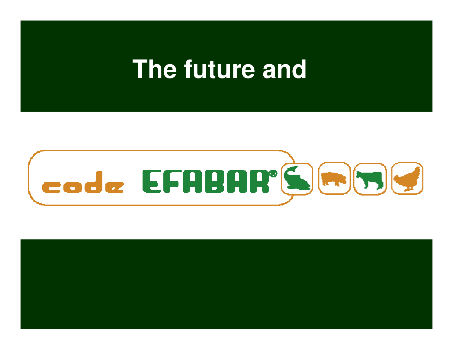# **The future and**



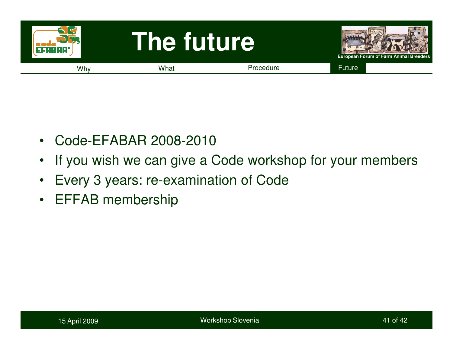

- $\bullet$ Code-EFABAR 2008-2010
- •If you wish we can give a Code workshop for your members
- $\bullet$ Every 3 years: re-examination of Code
- EFFAB membership